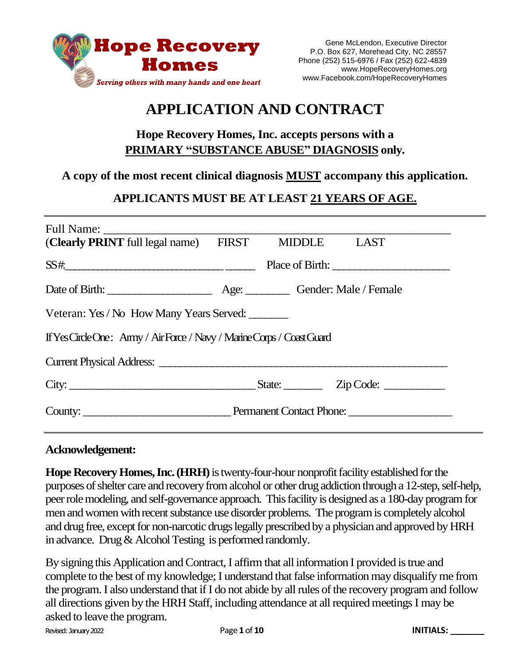

# **APPLICATION AND CONTRACT**

# **Hope Recovery Homes, Inc. accepts persons with a PRIMARY "SUBSTANCE ABUSE" DIAGNOSIS only.**

### **A copy of the most recent clinical diagnosis MUST accompany this application.**

# **APPLICANTS MUST BE AT LEAST 21 YEARS OF AGE.**

| (Clearly PRINT full legal name) FIRST MIDDLE LAST                                                                                                                                                                              |  |  |                 |  |  |  |
|--------------------------------------------------------------------------------------------------------------------------------------------------------------------------------------------------------------------------------|--|--|-----------------|--|--|--|
|                                                                                                                                                                                                                                |  |  | Place of Birth: |  |  |  |
|                                                                                                                                                                                                                                |  |  |                 |  |  |  |
| Veteran: Yes / No How Many Years Served:                                                                                                                                                                                       |  |  |                 |  |  |  |
| If Yes Circle One: Army / Air Force / Navy / Marine Corps / Coast Guard                                                                                                                                                        |  |  |                 |  |  |  |
|                                                                                                                                                                                                                                |  |  |                 |  |  |  |
| City: $\frac{1}{\text{City:}}$ $\frac{1}{\text{City:}}$ $\frac{1}{\text{City:}}$ $\frac{1}{\text{City:}}$                                                                                                                      |  |  |                 |  |  |  |
| County: County: County: County: County: County: County: County: County: County: County: County: County: County: County: County: County: County: County: County: County: County: County: County: County: County: County: County |  |  |                 |  |  |  |

#### **Acknowledgement:**

**Hope Recovery Homes, Inc. (HRH)** is twenty-four-hour nonprofit facility established for the purposes of shelter care and recovery from alcohol or other drug addiction through a 12-step, self-help, peer role modeling, and self-governance approach. This facility is designed as a 180-day program for men and women with recent substance use disorder problems. The program is completely alcohol and drug free, except for non-narcotic drugs legally prescribed by a physician and approved by HRH in advance. Drug & Alcohol Testing is performed randomly.

Revised: January 2022 Page **1**of **10 INITIALS: \_\_\_\_\_\_\_** By signing this Application and Contract, I affirm that all information I provided is true and complete to the best of my knowledge; I understand that false information may disqualify me from the program. I also understand that if I do not abide by all rules of the recovery program and follow all directions given by the HRH Staff, including attendance at all required meetingsI may be asked to leave the program.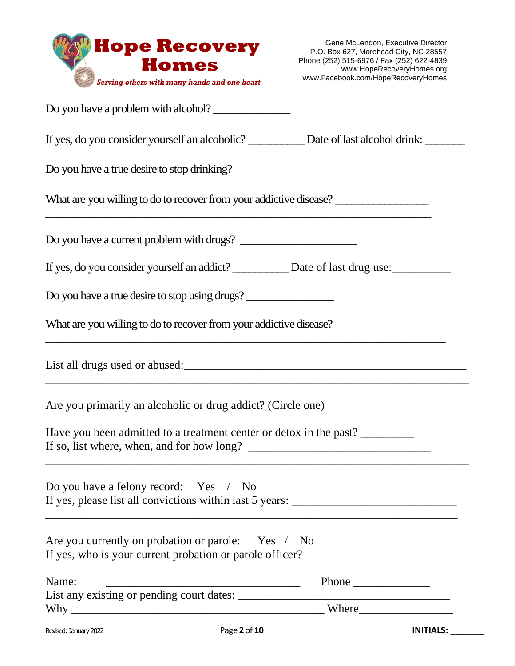

| Do you have a problem with alcohol?                                                                                        |  |  |  |  |  |
|----------------------------------------------------------------------------------------------------------------------------|--|--|--|--|--|
| If yes, do you consider yourself an alcoholic? ___________ Date of last alcohol drink: ________                            |  |  |  |  |  |
| Do you have a true desire to stop drinking?                                                                                |  |  |  |  |  |
| What are you willing to do to recover from your addictive disease?                                                         |  |  |  |  |  |
| Do you have a current problem with drugs?                                                                                  |  |  |  |  |  |
| If yes, do you consider yourself an addict? __________ Date of last drug use: _________                                    |  |  |  |  |  |
| Do you have a true desire to stop using drugs?                                                                             |  |  |  |  |  |
| What are you willing to do to recover from your addictive disease?                                                         |  |  |  |  |  |
| the control of the control of the control of the control of the control of the control of                                  |  |  |  |  |  |
| Are you primarily an alcoholic or drug addict? (Circle one)                                                                |  |  |  |  |  |
| Have you been admitted to a treatment center or detox in the past?                                                         |  |  |  |  |  |
| Do you have a felony record: Yes / No<br>If yes, please list all convictions within last 5 years: ________________________ |  |  |  |  |  |
| Are you currently on probation or parole: Yes / No<br>If yes, who is your current probation or parole officer?             |  |  |  |  |  |
| Name:                                                                                                                      |  |  |  |  |  |
|                                                                                                                            |  |  |  |  |  |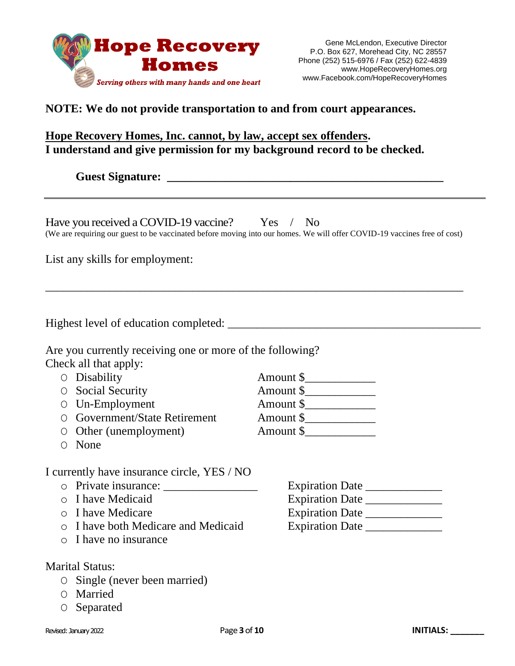

### **NOTE: We do not provide transportation to and from court appearances.**

#### **Hope Recovery Homes, Inc. cannot, by law, accept sex offenders. I understand and give permission for my background record to be checked.**

**Guest Signature: \_\_\_\_\_\_\_\_\_\_\_\_\_\_\_\_\_\_\_\_\_\_\_\_\_\_\_\_\_\_\_\_\_\_\_\_\_\_\_\_\_\_\_\_\_\_\_**

| Have you received a COVID-19 vaccine? Yes / No                                                                           |  |  |
|--------------------------------------------------------------------------------------------------------------------------|--|--|
| (We are requiring our guest to be vaccinated before moving into our homes. We will offer COVID-19 vaccines free of cost) |  |  |

\_\_\_\_\_\_\_\_\_\_\_\_\_\_\_\_\_\_\_\_\_\_\_\_\_\_\_\_\_\_\_\_\_\_\_\_\_\_\_\_\_\_\_\_\_\_\_\_\_\_\_\_\_\_\_\_\_\_\_\_\_\_\_\_\_\_\_\_\_\_\_

List any skills for employment:

Highest level of education completed: \_\_\_\_\_\_\_\_\_\_\_\_\_\_\_\_\_\_\_\_\_\_\_\_\_\_\_\_\_\_\_\_\_\_\_\_\_\_\_\_\_\_\_

Are you currently receiving one or more of the following? Check all that apply:

- O Disability Amount \$
- O Social Security Amount \$
- 
- O Un-Employment<br>
O Government/State Retirement<br>
Amount \$ O Government/State Retirement
- O Other (unemployment) Amount \$

O None

I currently have insurance circle, YES / NO

- 
- 
- 
- o I have both Medicare and Medicaid Expiration Date \_\_\_\_\_\_\_\_\_\_\_\_\_
- o I have no insurance

Marital Status:

- O Single (never been married)
- O Married
- O Separated

Revised: January 2022 Page **3**of **10 INITIALS: \_\_\_\_\_\_\_**

- o Private insurance: \_\_\_\_\_\_\_\_\_\_\_\_\_\_\_\_\_\_ Expiration Date \_\_\_\_\_\_\_\_\_\_\_\_\_\_\_\_\_\_\_\_\_\_\_\_ o I have Medicaid Expiration Date \_\_\_\_\_\_\_\_\_\_\_\_\_
- o I have Medicare **Expiration Date**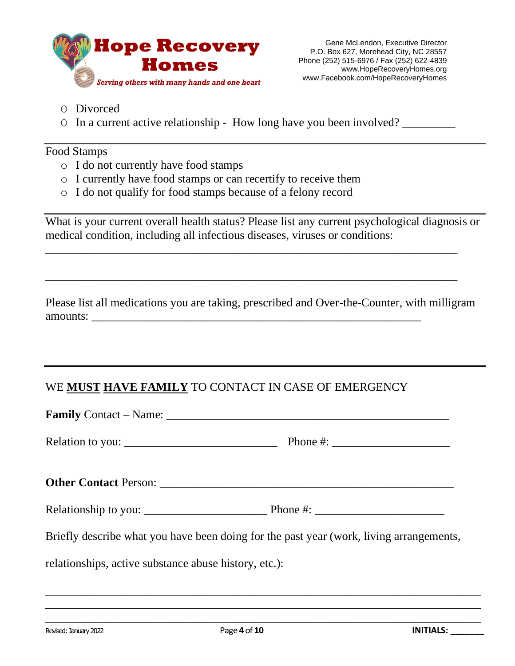

- O Divorced
- O In a current active relationship How long have you been involved? \_\_\_\_\_\_\_\_\_

#### Food Stamps

- o I do not currently have food stamps
- o I currently have food stamps or can recertify to receive them
- o I do not qualify for food stamps because of a felony record

What is your current overall health status? Please list any current psychological diagnosis or medical condition, including all infectious diseases, viruses or conditions:

\_\_\_\_\_\_\_\_\_\_\_\_\_\_\_\_\_\_\_\_\_\_\_\_\_\_\_\_\_\_\_\_\_\_\_\_\_\_\_\_\_\_\_\_\_\_\_\_\_\_\_\_\_\_\_\_\_\_\_\_\_\_\_\_\_\_\_\_\_\_

\_\_\_\_\_\_\_\_\_\_\_\_\_\_\_\_\_\_\_\_\_\_\_\_\_\_\_\_\_\_\_\_\_\_\_\_\_\_\_\_\_\_\_\_\_\_\_\_\_\_\_\_\_\_\_\_\_\_\_\_\_\_\_\_\_\_\_\_\_\_

Please list all medications you are taking, prescribed and Over-the-Counter, with milligram amounts:

# WE **MUST HAVE FAMILY** TO CONTACT IN CASE OF EMERGENCY

| Relationship to you: $\frac{1}{\sqrt{1-\frac{1}{\sqrt{1-\frac{1}{\sqrt{1-\frac{1}{\sqrt{1-\frac{1}{\sqrt{1-\frac{1}{\sqrt{1-\frac{1}{\sqrt{1-\frac{1}{\sqrt{1-\frac{1}{\sqrt{1-\frac{1}{\sqrt{1-\frac{1}{\sqrt{1-\frac{1}{\sqrt{1-\frac{1}{\sqrt{1-\frac{1}{\sqrt{1-\frac{1}{\sqrt{1-\frac{1}{\sqrt{1-\frac{1}{\sqrt{1-\frac{1}{\sqrt{1-\frac{1}{\sqrt{1-\frac{1}{\sqrt{1-\frac{1}{\sqrt{1-\frac{1}{\sqrt{1-\$ |  |  |  |  |
|----------------------------------------------------------------------------------------------------------------------------------------------------------------------------------------------------------------------------------------------------------------------------------------------------------------------------------------------------------------------------------------------------------------|--|--|--|--|
| Briefly describe what you have been doing for the past year (work, living arrangements,                                                                                                                                                                                                                                                                                                                        |  |  |  |  |
| relationships, active substance abuse history, etc.):                                                                                                                                                                                                                                                                                                                                                          |  |  |  |  |

\_\_\_\_\_\_\_\_\_\_\_\_\_\_\_\_\_\_\_\_\_\_\_\_\_\_\_\_\_\_\_\_\_\_\_\_\_\_\_\_\_\_\_\_\_\_\_\_\_\_\_\_\_\_\_\_\_\_\_\_\_\_\_\_\_\_\_\_\_\_\_\_\_\_ \_\_\_\_\_\_\_\_\_\_\_\_\_\_\_\_\_\_\_\_\_\_\_\_\_\_\_\_\_\_\_\_\_\_\_\_\_\_\_\_\_\_\_\_\_\_\_\_\_\_\_\_\_\_\_\_\_\_\_\_\_\_\_\_\_\_\_\_\_\_\_\_\_\_ \_\_\_\_\_\_\_\_\_\_\_\_\_\_\_\_\_\_\_\_\_\_\_\_\_\_\_\_\_\_\_\_\_\_\_\_\_\_\_\_\_\_\_\_\_\_\_\_\_\_\_\_\_\_\_\_\_\_\_\_\_\_\_\_\_\_\_\_\_\_\_\_\_\_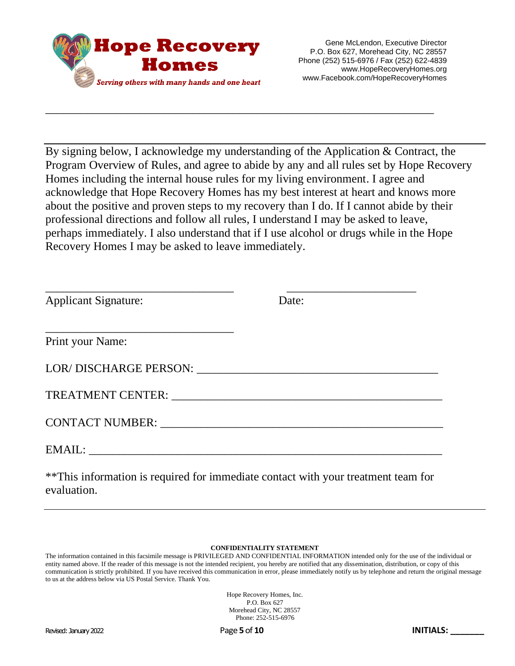

By signing below, I acknowledge my understanding of the Application & Contract, the Program Overview of Rules, and agree to abide by any and all rules set by Hope Recovery Homes including the internal house rules for my living environment. I agree and acknowledge that Hope Recovery Homes has my best interest at heart and knows more about the positive and proven steps to my recovery than I do. If I cannot abide by their professional directions and follow all rules, I understand I may be asked to leave, perhaps immediately. I also understand that if I use alcohol or drugs while in the Hope Recovery Homes I may be asked to leave immediately.

\_\_\_\_\_\_\_\_\_\_\_\_\_\_\_\_\_\_\_\_\_\_\_\_\_\_\_\_\_\_\_\_\_\_\_\_\_\_\_\_\_\_\_\_\_\_\_\_\_\_\_\_\_\_\_\_\_\_\_\_\_\_\_\_\_\_

| <b>Applicant Signature:</b>                                                                                                                                                                                                    | Date:                                                                              |
|--------------------------------------------------------------------------------------------------------------------------------------------------------------------------------------------------------------------------------|------------------------------------------------------------------------------------|
| Print your Name:                                                                                                                                                                                                               |                                                                                    |
|                                                                                                                                                                                                                                |                                                                                    |
| TREATMENT CENTER: THE CONTROL OF THE CONTROL OF THE CONTROL OF THE CONTROL OF THE CONTROL OF THE CONTROL OF THE CONTROL OF THE CONTROL OF THE CONTROL OF THE CONTROL OF THE CONTROL OF THE CONTROL OF THE CONTROL OF THE CONTR |                                                                                    |
|                                                                                                                                                                                                                                |                                                                                    |
|                                                                                                                                                                                                                                |                                                                                    |
|                                                                                                                                                                                                                                | ** This information is required for immediate contact with your treatment team for |

#### **CONFIDENTIALITY STATEMENT**

The information contained in this facsimile message is PRIVILEGED AND CONFIDENTIAL INFORMATION intended only for the use of the individual or entity named above. If the reader of this message is not the intended recipient, you hereby are notified that any dissemination, distribution, or copy of this communication is strictly prohibited. If you have received this communication in error, please immediately notify us by telephone and return the original message to us at the address below via US Postal Service. Thank You.

> Hope Recovery Homes, Inc. P.O. Box 627 Morehead City, NC 28557 Phone: 252-515-6976

evaluation.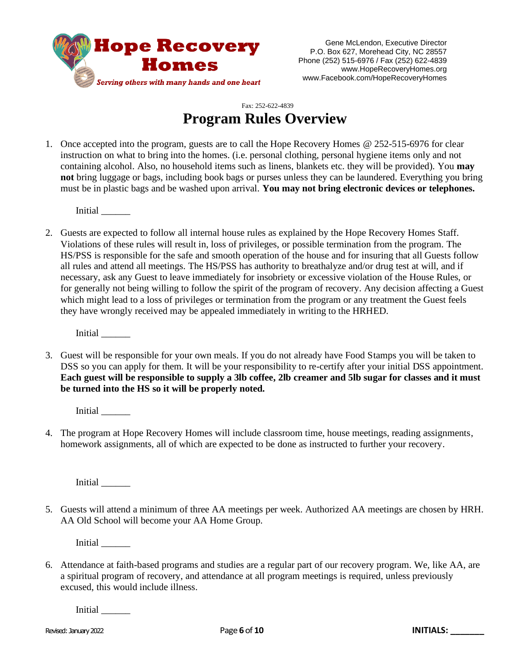

Gene McLendon, Executive Director P.O. Box 627, Morehead City, NC 28557 Phone (252) 515-6976 / Fax (252) 622-4839 www.HopeRecoveryHomes.org www.Facebook.com/HopeRecoveryHomes

#### Fax: 252-622-4839 **Program Rules Overview**

1. Once accepted into the program, guests are to call the Hope Recovery Homes @ 252-515-6976 for clear instruction on what to bring into the homes. (i.e. personal clothing, personal hygiene items only and not containing alcohol. Also, no household items such as linens, blankets etc. they will be provided). You **may not** bring luggage or bags, including book bags or purses unless they can be laundered. Everything you bring must be in plastic bags and be washed upon arrival. **You may not bring electronic devices or telephones.**

Initial \_\_\_\_\_\_

2. Guests are expected to follow all internal house rules as explained by the Hope Recovery Homes Staff. Violations of these rules will result in, loss of privileges, or possible termination from the program. The HS/PSS is responsible for the safe and smooth operation of the house and for insuring that all Guests follow all rules and attend all meetings. The HS/PSS has authority to breathalyze and/or drug test at will, and if necessary, ask any Guest to leave immediately for insobriety or excessive violation of the House Rules, or for generally not being willing to follow the spirit of the program of recovery. Any decision affecting a Guest which might lead to a loss of privileges or termination from the program or any treatment the Guest feels they have wrongly received may be appealed immediately in writing to the HRHED.

Initial \_\_\_\_\_\_

3. Guest will be responsible for your own meals. If you do not already have Food Stamps you will be taken to DSS so you can apply for them. It will be your responsibility to re-certify after your initial DSS appointment. **Each guest will be responsible to supply a 3lb coffee, 2lb creamer and 5lb sugar for classes and it must be turned into the HS so it will be properly noted.**

Initial \_\_\_\_\_\_\_\_

4. The program at Hope Recovery Homes will include classroom time, house meetings, reading assignments, homework assignments, all of which are expected to be done as instructed to further your recovery.

Initial \_\_\_\_\_\_

5. Guests will attend a minimum of three AA meetings per week. Authorized AA meetings are chosen by HRH. AA Old School will become your AA Home Group.

Initial \_\_\_\_\_\_

6. Attendance at faith-based programs and studies are a regular part of our recovery program. We, like AA, are a spiritual program of recovery, and attendance at all program meetings is required, unless previously excused, this would include illness.

Initial \_\_\_\_\_\_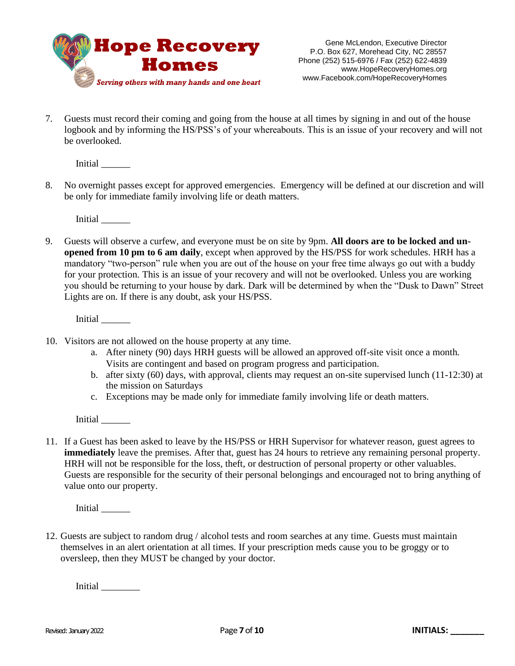

7. Guests must record their coming and going from the house at all times by signing in and out of the house logbook and by informing the HS/PSS's of your whereabouts. This is an issue of your recovery and will not be overlooked.

Initial \_\_\_\_\_\_

8. No overnight passes except for approved emergencies. Emergency will be defined at our discretion and will be only for immediate family involving life or death matters.

Initial \_\_\_\_\_\_

9. Guests will observe a curfew, and everyone must be on site by 9pm. **All doors are to be locked and unopened from 10 pm to 6 am daily**, except when approved by the HS/PSS for work schedules. HRH has a mandatory "two-person" rule when you are out of the house on your free time always go out with a buddy for your protection. This is an issue of your recovery and will not be overlooked. Unless you are working you should be returning to your house by dark. Dark will be determined by when the "Dusk to Dawn" Street Lights are on. If there is any doubt, ask your HS/PSS.

Initial \_\_\_\_\_\_

- 10. Visitors are not allowed on the house property at any time.
	- a. After ninety (90) days HRH guests will be allowed an approved off-site visit once a month. Visits are contingent and based on program progress and participation.
	- b. after sixty (60) days, with approval, clients may request an on-site supervised lunch (11-12:30) at the mission on Saturdays
	- c. Exceptions may be made only for immediate family involving life or death matters.

Initial \_\_\_\_\_\_\_\_

11. If a Guest has been asked to leave by the HS/PSS or HRH Supervisor for whatever reason, guest agrees to **immediately** leave the premises. After that, guest has 24 hours to retrieve any remaining personal property. HRH will not be responsible for the loss, theft, or destruction of personal property or other valuables. Guests are responsible for the security of their personal belongings and encouraged not to bring anything of value onto our property.

Initial \_\_\_\_\_\_\_\_

12. Guests are subject to random drug / alcohol tests and room searches at any time. Guests must maintain themselves in an alert orientation at all times. If your prescription meds cause you to be groggy or to oversleep, then they MUST be changed by your doctor.

Initial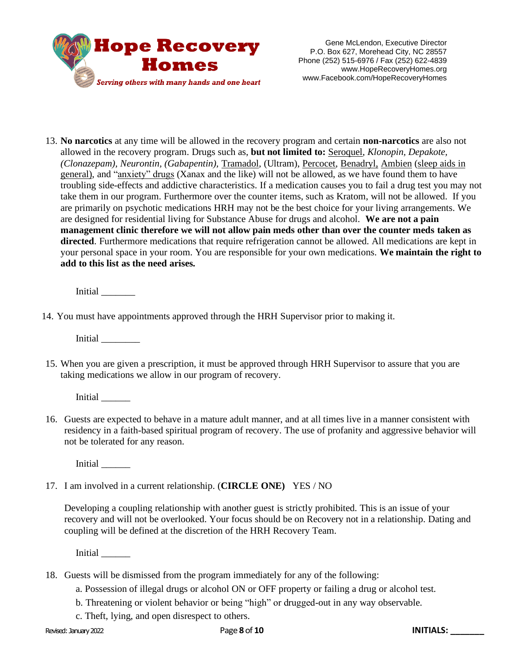

13. **No narcotics** at any time will be allowed in the recovery program and certain **non-narcotics** are also not allowed in the recovery program. Drugs such as, **but not limited to:** Seroquel, *Klonopin, Depakote, (Clonazepam), Neurontin, (Gabapentin),* Tramadol, (Ultram), Percocet, Benadryl, Ambien (sleep aids in general), and "anxiety" drugs (Xanax and the like) will not be allowed, as we have found them to have troubling side-effects and addictive characteristics. If a medication causes you to fail a drug test you may not take them in our program. Furthermore over the counter items, such as Kratom, will not be allowed. If you are primarily on psychotic medications HRH may not be the best choice for your living arrangements. We are designed for residential living for Substance Abuse for drugs and alcohol. **We are not a pain management clinic therefore we will not allow pain meds other than over the counter meds taken as directed**. Furthermore medications that require refrigeration cannot be allowed. All medications are kept in your personal space in your room. You are responsible for your own medications. **We maintain the right to add to this list as the need arises.**

Initial \_\_\_\_\_\_\_

14. You must have appointments approved through the HRH Supervisor prior to making it.

Initial \_\_\_\_\_\_\_\_

15. When you are given a prescription, it must be approved through HRH Supervisor to assure that you are taking medications we allow in our program of recovery.

Initial \_\_\_\_\_\_

16. Guests are expected to behave in a mature adult manner, and at all times live in a manner consistent with residency in a faith-based spiritual program of recovery. The use of profanity and aggressive behavior will not be tolerated for any reason.

Initial \_\_\_\_\_\_

17. I am involved in a current relationship. (**CIRCLE ONE)** YES / NO

Developing a coupling relationship with another guest is strictly prohibited. This is an issue of your recovery and will not be overlooked. Your focus should be on Recovery not in a relationship. Dating and coupling will be defined at the discretion of the HRH Recovery Team.

Initial \_\_\_\_\_\_\_\_

- 18. Guests will be dismissed from the program immediately for any of the following:
	- a. Possession of illegal drugs or alcohol ON or OFF property or failing a drug or alcohol test.
	- b. Threatening or violent behavior or being "high" or drugged-out in any way observable.
	- c. Theft, lying, and open disrespect to others.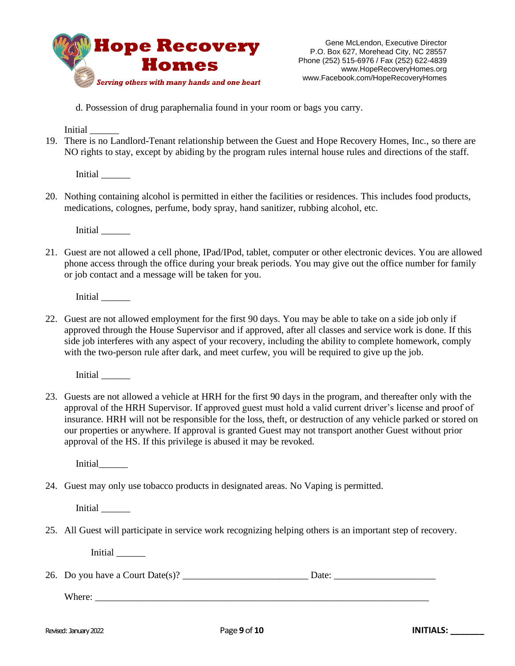

d. Possession of drug paraphernalia found in your room or bags you carry.

Initial \_\_\_\_\_\_

19. There is no Landlord-Tenant relationship between the Guest and Hope Recovery Homes, Inc., so there are NO rights to stay, except by abiding by the program rules internal house rules and directions of the staff.

Initial \_\_\_\_\_\_

20. Nothing containing alcohol is permitted in either the facilities or residences. This includes food products, medications, colognes, perfume, body spray, hand sanitizer, rubbing alcohol, etc.

Initial \_\_\_\_\_\_

21. Guest are not allowed a cell phone, IPad/IPod, tablet, computer or other electronic devices. You are allowed phone access through the office during your break periods. You may give out the office number for family or job contact and a message will be taken for you.

Initial \_\_\_\_\_\_

22. Guest are not allowed employment for the first 90 days. You may be able to take on a side job only if approved through the House Supervisor and if approved, after all classes and service work is done. If this side job interferes with any aspect of your recovery, including the ability to complete homework, comply with the two-person rule after dark, and meet curfew, you will be required to give up the job.

Initial \_\_\_\_\_\_

23. Guests are not allowed a vehicle at HRH for the first 90 days in the program, and thereafter only with the approval of the HRH Supervisor. If approved guest must hold a valid current driver's license and proof of insurance. HRH will not be responsible for the loss, theft, or destruction of any vehicle parked or stored on our properties or anywhere. If approval is granted Guest may not transport another Guest without prior approval of the HS. If this privilege is abused it may be revoked.

Initial\_\_\_\_\_\_

24. Guest may only use tobacco products in designated areas. No Vaping is permitted.

Initial \_\_\_\_\_\_

25. All Guest will participate in service work recognizing helping others is an important step of recovery.

Initial \_\_\_\_\_\_

26. Do you have a Court Date(s)?

Where: \_\_\_\_\_\_\_\_\_\_\_\_\_\_\_\_\_\_\_\_\_\_\_\_\_\_\_\_\_\_\_\_\_\_\_\_\_\_\_\_\_\_\_\_\_\_\_\_\_\_\_\_\_\_\_\_\_\_\_\_\_\_\_\_\_\_\_\_\_